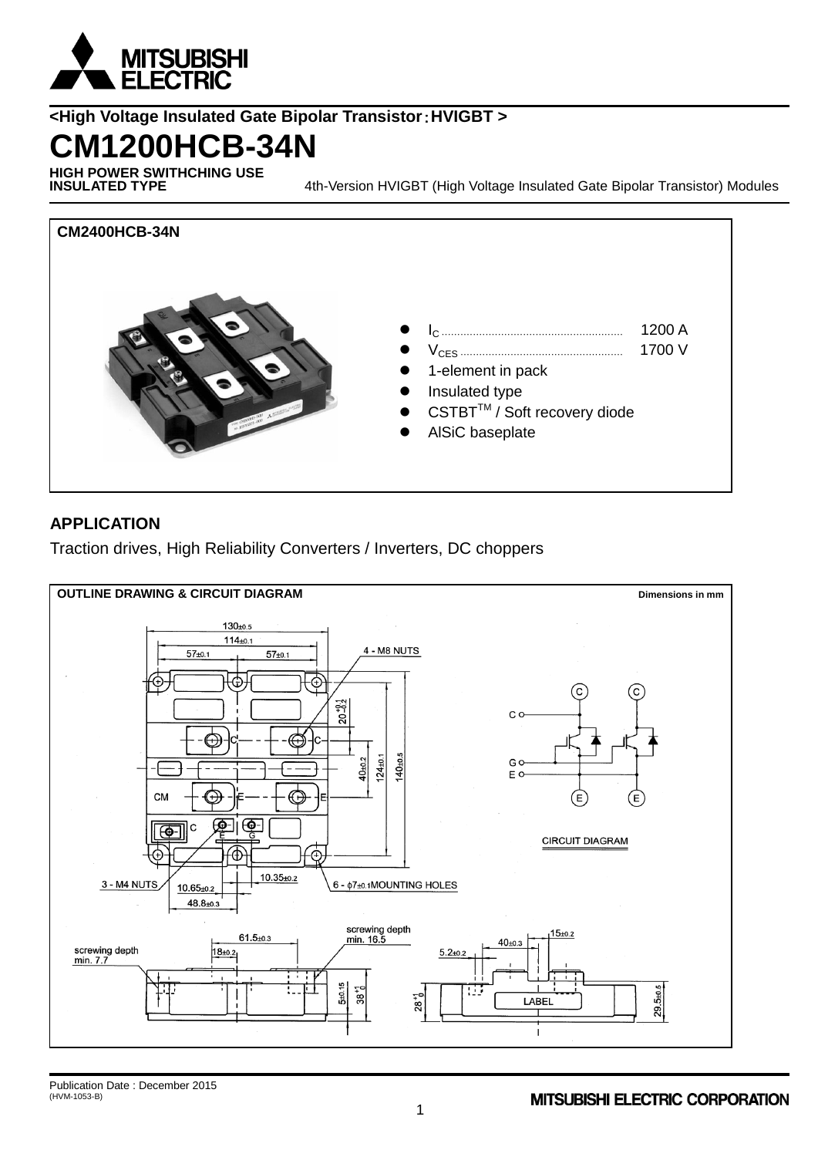

## **<High Voltage Insulated Gate Bipolar Transistor**:**HVIGBT >**

## **CM1200HCB-34N**

**HIGH POWER SWITHCHING USE**

4th-Version HVIGBT (High Voltage Insulated Gate Bipolar Transistor) Modules



### **APPLICATION**

Traction drives, High Reliability Converters / Inverters, DC choppers

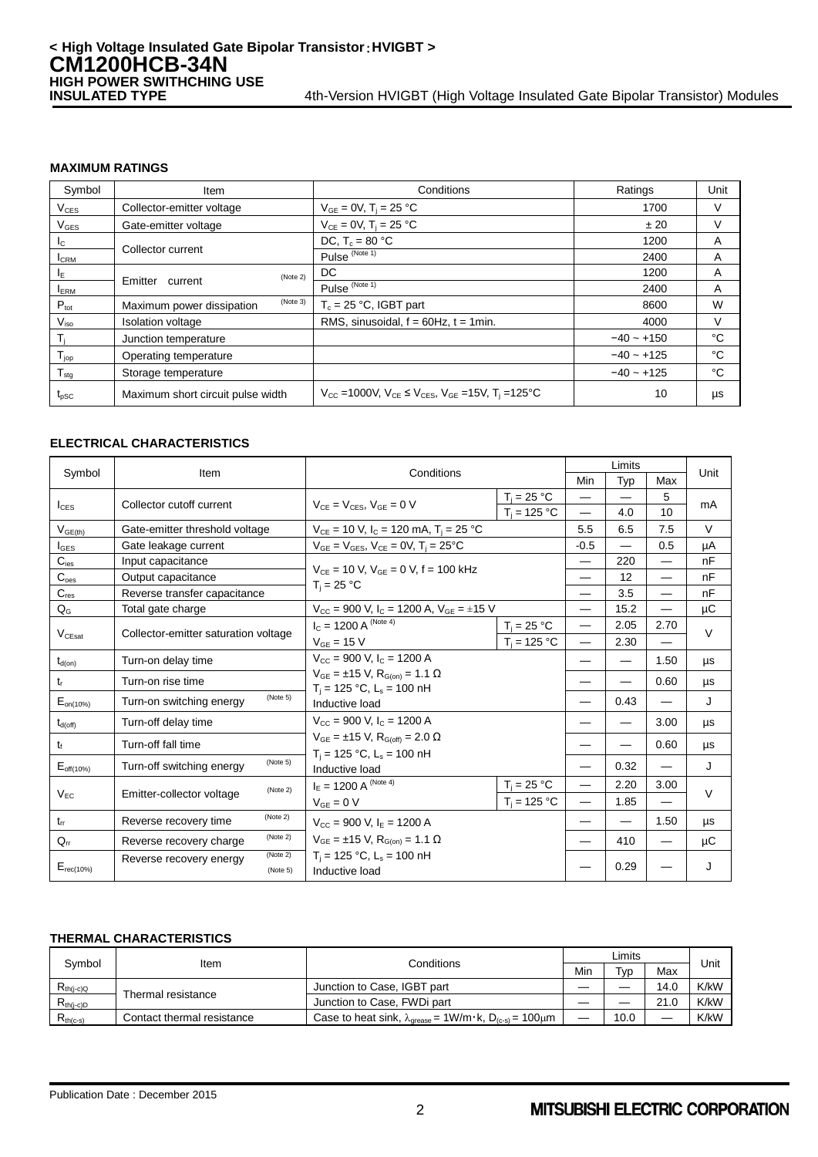### **MAXIMUM RATINGS**

| Symbol                     | Item                                  | Conditions                                                                                                            | Ratings      | Unit |
|----------------------------|---------------------------------------|-----------------------------------------------------------------------------------------------------------------------|--------------|------|
| $V_{CES}$                  | Collector-emitter voltage             | $V_{GE} = 0V$ , $T_i = 25 °C$                                                                                         | 1700         |      |
| $V_{\text{GES}}$           | Gate-emitter voltage                  | $V_{CE} = 0V$ , T <sub>i</sub> = 25 °C                                                                                | ±20          |      |
| $I_{\rm C}$                | Collector current                     | DC, $T_c = 80 °C$                                                                                                     | 1200         | A    |
| <b>I</b> CRM               |                                       | Pulse <sup>(Note 1)</sup>                                                                                             | 2400         | A    |
| $I_{E}$                    | (Note 2)                              | DC.                                                                                                                   | 1200         | A    |
| <b>ERM</b>                 | Emitter<br>current                    | Pulse $\overline{\frac{\text{(Note 1)}}{\text{(Note 1)}}}$                                                            | 2400         | A    |
| $P_{\text{tot}}$           | (Note 3)<br>Maximum power dissipation | $T_c = 25 °C$ , IGBT part                                                                                             | 8600         | W    |
| $V_{\mathsf{iso}}$         | <b>Isolation voltage</b>              | RMS, sinusoidal, $f = 60$ Hz, $t = 1$ min.                                                                            | 4000         |      |
| $\mathsf{T}_i$             | Junction temperature                  |                                                                                                                       | $-40 - +150$ | °C   |
| $T_{\text{jop}}$           | Operating temperature                 |                                                                                                                       | $-40 - +125$ | °C   |
| ${\mathsf T}_{\text{stg}}$ | Storage temperature                   |                                                                                                                       | $-40 - +125$ | °C   |
| $t_{pSC}$                  | Maximum short circuit pulse width     | $V_{\text{CC}}$ =1000V, $V_{\text{CE}} \le V_{\text{CES}}$ , $V_{\text{GE}}$ =15V, T <sub>i</sub> =125 <sup>o</sup> C | 10           | μs   |

### **ELECTRICAL CHARACTERISTICS**

| Symbol              | Item                                            | Conditions                                                                                                          |                                                                                                   | Limits                   |                          |                          | Unit    |
|---------------------|-------------------------------------------------|---------------------------------------------------------------------------------------------------------------------|---------------------------------------------------------------------------------------------------|--------------------------|--------------------------|--------------------------|---------|
|                     |                                                 |                                                                                                                     |                                                                                                   | Min                      | Typ                      | Max                      |         |
|                     | Collector cutoff current                        | $V_{CE} = V_{CES}$ , $V_{GE} = 0$ V                                                                                 | $T_i = 25 °C$                                                                                     |                          |                          | 5                        | mA      |
| $I_{\text{CES}}$    |                                                 |                                                                                                                     | $T_i = 125 °C$                                                                                    |                          | 4.0                      | 10                       |         |
| $V_{GE(th)}$        | Gate-emitter threshold voltage                  | $V_{CE}$ = 10 V, $I_C$ = 120 mA, $T_i$ = 25 °C                                                                      |                                                                                                   | 5.5                      | 6.5                      | 7.5                      | $\vee$  |
| $I_{\text{GES}}$    | Gate leakage current                            | $V_{GE} = V_{GES}$ , $V_{CE} = 0V$ , $T_i = 25^{\circ}C$                                                            |                                                                                                   | $-0.5$                   |                          | 0.5                      | uА      |
| $C_{\text{ies}}$    | Input capacitance                               | $V_{CF}$ = 10 V. $V_{GF}$ = 0 V. f = 100 kHz<br>$T_i = 25 °C$                                                       |                                                                                                   |                          | 220                      | $\overline{\phantom{0}}$ | nF      |
| $C_{\text{oes}}$    | Output capacitance                              |                                                                                                                     |                                                                                                   |                          | 12                       | $\overline{\phantom{0}}$ | nF      |
| $C_{res}$           | Reverse transfer capacitance                    |                                                                                                                     |                                                                                                   |                          | 3.5                      | —                        | nF      |
| $Q_{G}$             | Total gate charge                               | $V_{\text{CC}}$ = 900 V, I <sub>C</sub> = 1200 A, V <sub>GE</sub> = ±15 V                                           |                                                                                                   |                          | 15.2                     |                          | μC      |
|                     | Collector-emitter saturation voltage            | $I_C = 1200 \text{ A}^{(\text{Note 4})}$                                                                            | $T_i = 25 °C$                                                                                     |                          | 2.05                     | 2.70                     | $\vee$  |
| $V_{CEsat}$         |                                                 | $V_{GE}$ = 15 V                                                                                                     | $T_i = 125 °C$                                                                                    |                          | 2.30                     |                          |         |
| $t_{d(on)}$         | Turn-on delay time                              | $V_{\text{CC}} = 900$ V, $I_{\text{C}} = 1200$ A                                                                    | $V_{GE} = ±15 V, R_{G(on)} = 1.1 Ω$<br>$T_i = 125 °C$ , L <sub>s</sub> = 100 nH<br>Inductive load |                          |                          | 1.50                     | μs      |
| $t_{r}$             | Turn-on rise time                               |                                                                                                                     |                                                                                                   |                          |                          | 0.60                     | μs      |
| $E_{on(10\%)}$      | (Note 5)<br>Turn-on switching energy            |                                                                                                                     |                                                                                                   |                          | 0.43                     |                          | J       |
| $t_{d(\text{off})}$ | Turn-off delay time                             | $V_{\text{CC}}$ = 900 V, $I_{\text{C}}$ = 1200 A                                                                    |                                                                                                   |                          |                          | 3.00                     | μs      |
| t                   | Turn-off fall time                              | $V_{GE} = \pm 15$ V, $R_{G(off)} = 2.0$ $\Omega$                                                                    |                                                                                                   |                          |                          | 0.60                     | μs      |
| $E_{off(10\%)}$     | (Note 5)<br>Turn-off switching energy           | $T_i = 125$ °C, L <sub>s</sub> = 100 nH<br>Inductive load                                                           |                                                                                                   | 0.32                     | $\overline{\phantom{0}}$ | J                        |         |
|                     | (Note 2)<br>Emitter-collector voltage           | $I_E = 1200 \text{ A}^{(\text{Note 4})}$                                                                            | $T_i = 25 °C$                                                                                     |                          | 2.20                     | 3.00                     |         |
| $V_{EC}$            |                                                 | $V_{GE} = 0 V$                                                                                                      | $T_i = 125 °C$                                                                                    | $\overline{\phantom{0}}$ | 1.85                     | $\overline{\phantom{0}}$ | $\vee$  |
| $t_{rr}$            | (Note 2)<br>Reverse recovery time               | $V_{\text{CC}} = 900$ V, $I_{\text{E}} = 1200$ A                                                                    |                                                                                                   |                          |                          | 1.50                     | μs      |
| $Q_{rr}$            | (Note 2)<br>Reverse recovery charge             | $V_{GE} = \pm 15$ V, R <sub>G(on)</sub> = 1.1 $\Omega$<br>$T_i = 125$ °C, L <sub>s</sub> = 100 nH<br>Inductive load |                                                                                                   |                          | 410                      |                          | $\mu$ C |
| $E_{rec(10\%)}$     | (Note 2)<br>Reverse recovery energy<br>(Note 5) |                                                                                                                     |                                                                                                   |                          | 0.29                     |                          | J       |

### **THERMAL CHARACTERISTICS**

| Svmbol                                                    | ltem                       | Conditions                                                                                                  |     | Limits               |      | Unit |
|-----------------------------------------------------------|----------------------------|-------------------------------------------------------------------------------------------------------------|-----|----------------------|------|------|
|                                                           |                            |                                                                                                             | Min | $\tau_{\texttt{VD}}$ | Max  |      |
| $\mathsf{R}_{\mathsf{th}(j\text{-}c)\mathsf{Q}}$          | Thermal resistance         | Junction to Case, IGBT part                                                                                 |     |                      | 14.0 | K/kW |
| $\mathsf{R}_{\mathsf{th}(i\text{-}\mathrm{c})\mathsf{D}}$ |                            | Junction to Case, FWDi part                                                                                 | _   |                      | 21.0 | K/kW |
| $R_{th(c-s)}$                                             | Contact thermal resistance | Case to heat sink, $\lambda_{\text{grease}} = 1 \text{W/m} \cdot \text{k}$ , $D_{(c-s)} = 100 \mu \text{m}$ |     | 10.0                 |      | K/kW |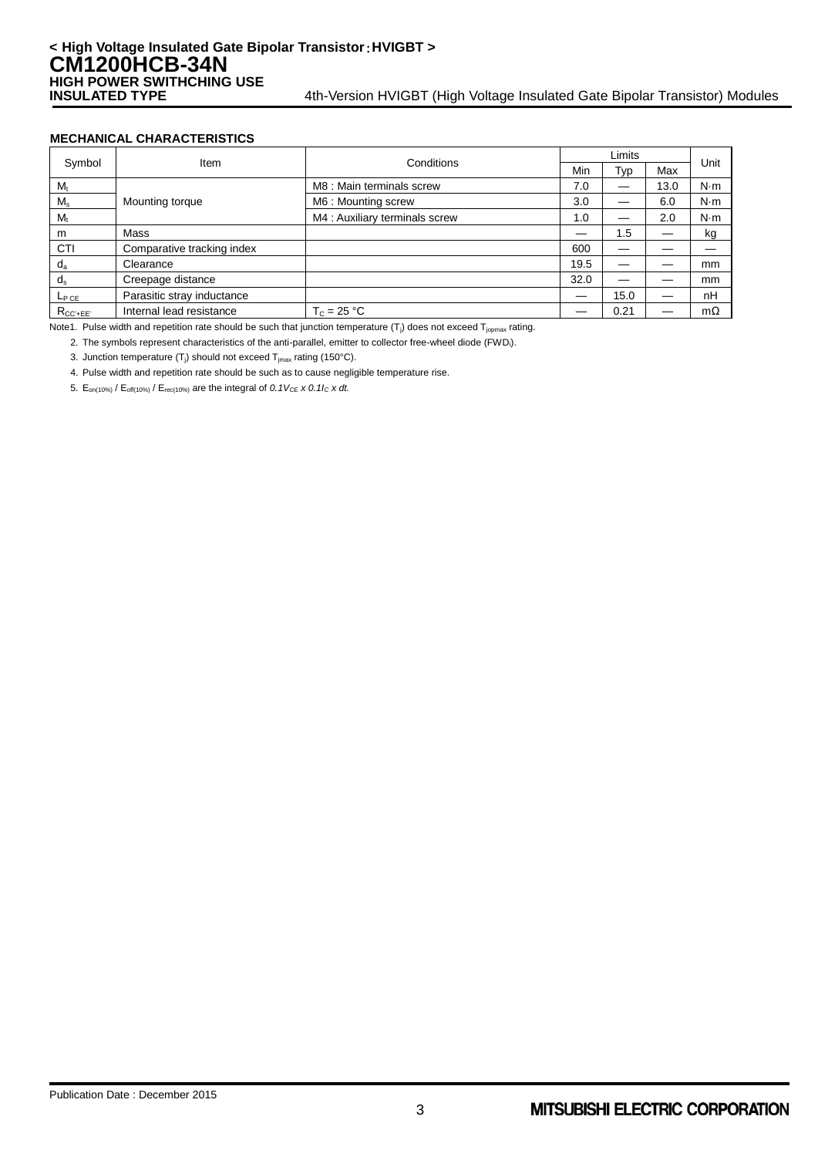### **MECHANICAL CHARACTERISTICS**

| Symbol          | Item                       |                                | Limits |      |      |           |
|-----------------|----------------------------|--------------------------------|--------|------|------|-----------|
|                 |                            | Conditions                     | Min    | Typ  | Max  | Unit      |
| $M_{t}$         |                            | M8 : Main terminals screw      | 7.0    |      | 13.0 | N·m       |
| $M_s$           | Mounting torque            | M6: Mounting screw             | 3.0    |      | 6.0  | N·m       |
| $M_{t}$         |                            | M4 : Auxiliary terminals screw | 1.0    |      | 2.0  | N·m       |
| m               | Mass                       |                                |        | 1.5  |      | kg        |
| CTI             | Comparative tracking index |                                | 600    |      |      |           |
| $d_a$           | Clearance                  |                                | 19.5   |      |      | mm        |
| $d_{s}$         | Creepage distance          |                                | 32.0   |      |      | mm        |
| $L_{PCE}$       | Parasitic stray inductance |                                |        | 15.0 |      | nH        |
| $R_{CC' + EE'}$ | Internal lead resistance   | $T_c = 25 °C$                  |        | 0.21 |      | $m\Omega$ |

Note1. Pulse width and repetition rate should be such that junction temperature  $(T_i)$  does not exceed  $T_{\text{iomax}}$  rating.

2. The symbols represent characteristics of the anti-parallel, emitter to collector free-wheel diode (FWDi).

3. Junction temperature  $(T_j)$  should not exceed  $T_{jmax}$  rating (150°C).

4. Pulse width and repetition rate should be such as to cause negligible temperature rise.

5.  $E_{on(10\%)}$  /  $E_{off(10\%)}$  /  $E_{rec(10\%)}$  are the integral of 0.1V<sub>CE</sub> x 0.1I<sub>C</sub> x dt.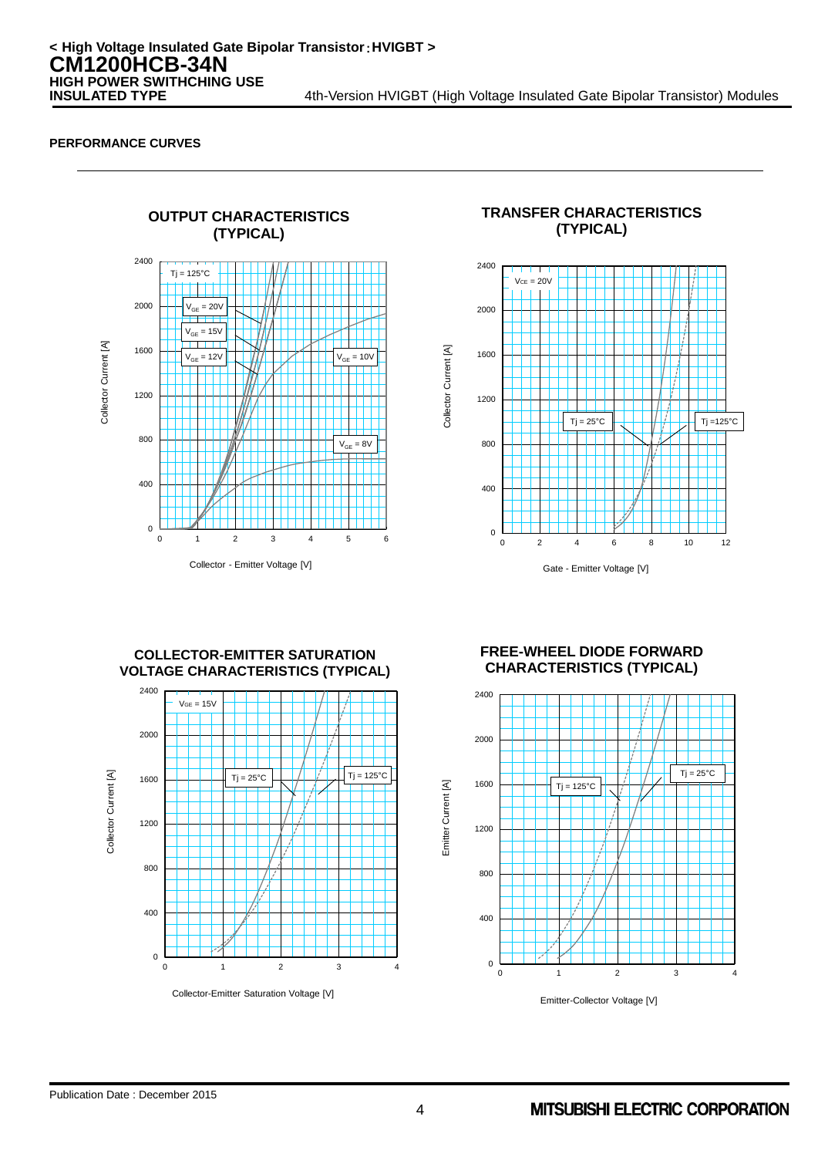

**(TYPICAL)** 2400  $VCE = 20V$ 2000 Collector Current [A] Collector Current [A] 1600 1200 Tj = 25°C  $|| \t+ || \t+ ||$  Tj =125°C 800  $400$ 0

**TRANSFER CHARACTERISTICS**

**COLLECTOR-EMITTER SATURATION VOLTAGE CHARACTERISTICS (TYPICAL)**



**FREE-WHEEL DIODE FORWARD CHARACTERISTICS (TYPICAL)**

Gate - Emitter Voltage [V]

0 2 4 6 8 10 12

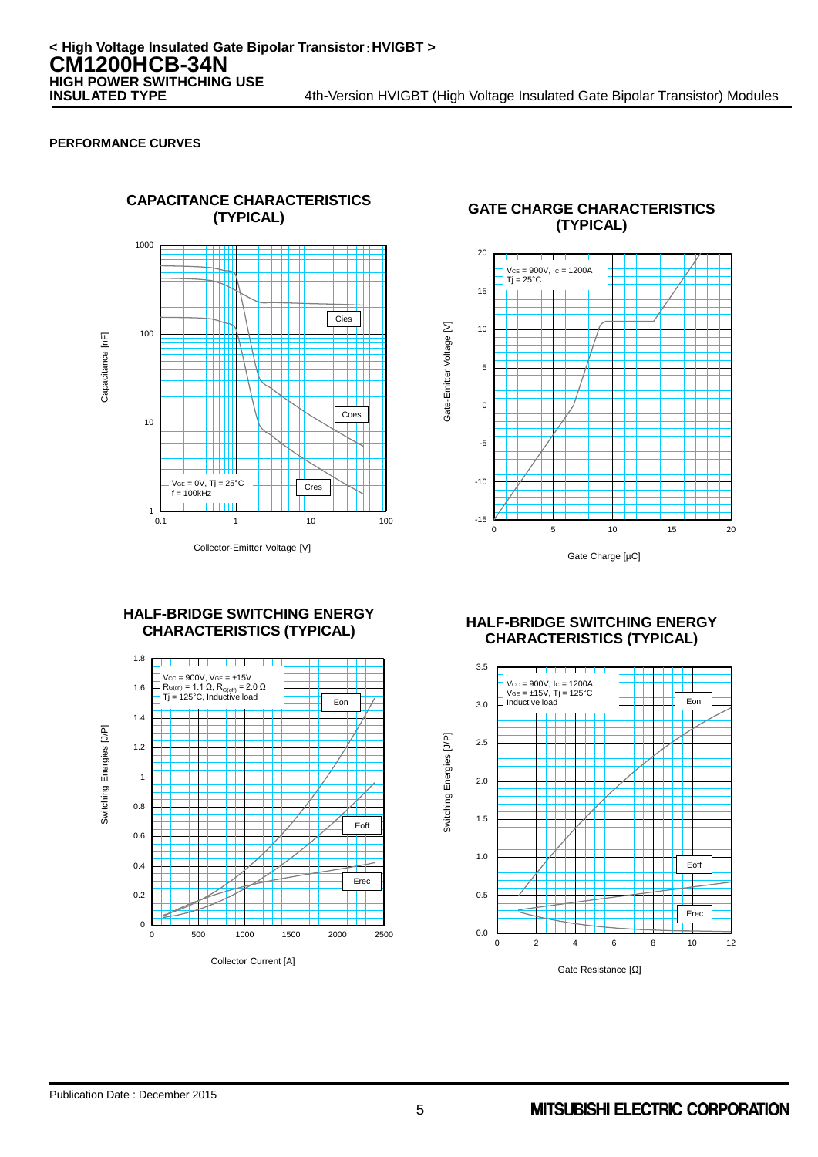

**(TYPICAL) GATE CHARGE CHARACTERISTICS (TYPICAL)**



# **HALF-BRIDGE SWITCHING ENERGY**



### **CHARACTERISTICS (TYPICAL) HALF-BRIDGE SWITCHING ENERGY CHARACTERISTICS (TYPICAL)**

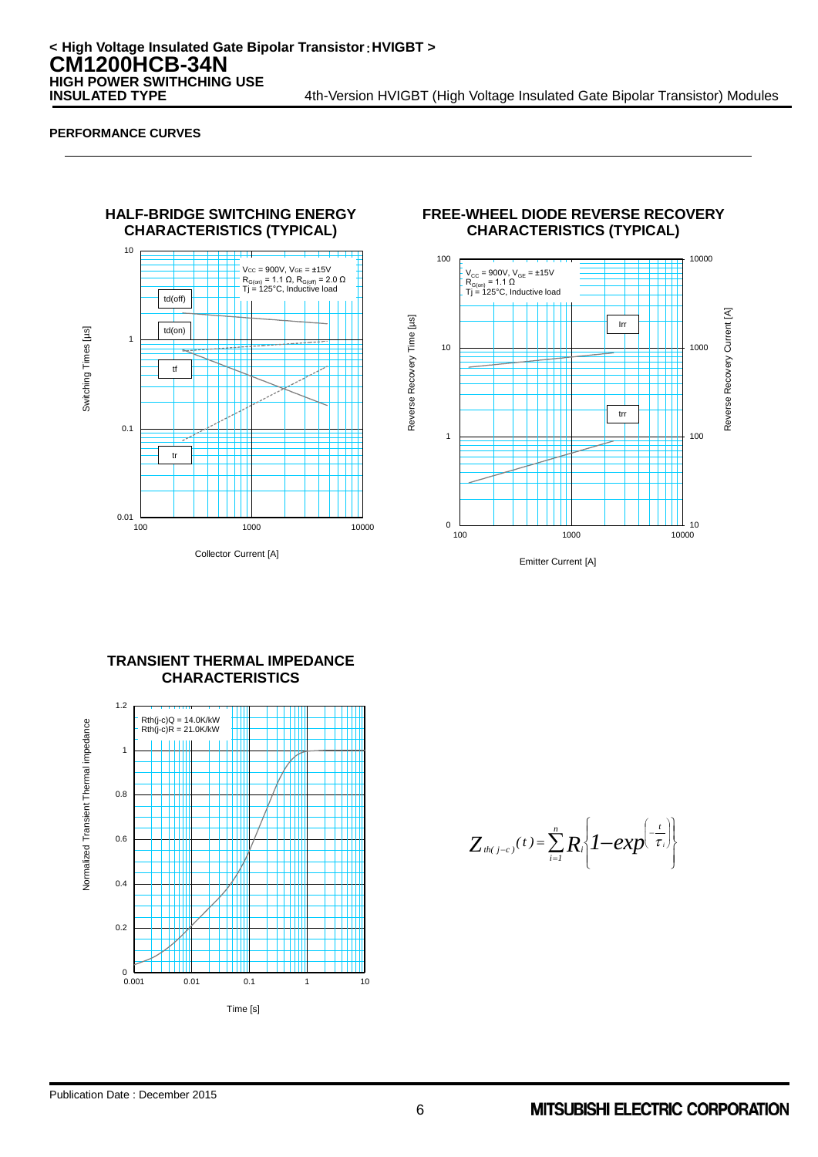

### **FREE-WHEEL DIODE REVERSE RECOVERY CHARACTERISTICS (TYPICAL)**



Emitter Current [A]



# **TRANSIENT THERMAL IMPEDANCE**

 $\int$  $\left\{ \right.$  $\vert$  $\overline{\mathcal{L}}$  $\left\{ \right.$  $\left\vert \right\vert$  $=\sum_{i=1}^n R_i \left(1-\exp^{\left(-\frac{t}{\tau_i}\right)}\right)$ J Ι ļ ľ  $\left( \frac{1}{2} \right)$  $Z_{\frac{th(j-c)}{t}}(t) = \sum_{i=1}^{n} R_i \left\{1 - exp^{-\frac{t}{\tau}}\right\}$  $\sum_{i=1}^{\infty} R_i \left\{ I-\exp(-\tau) \right\}$ 

Reverse Recovery Time [µs]

Reverse Recovery Time [µs]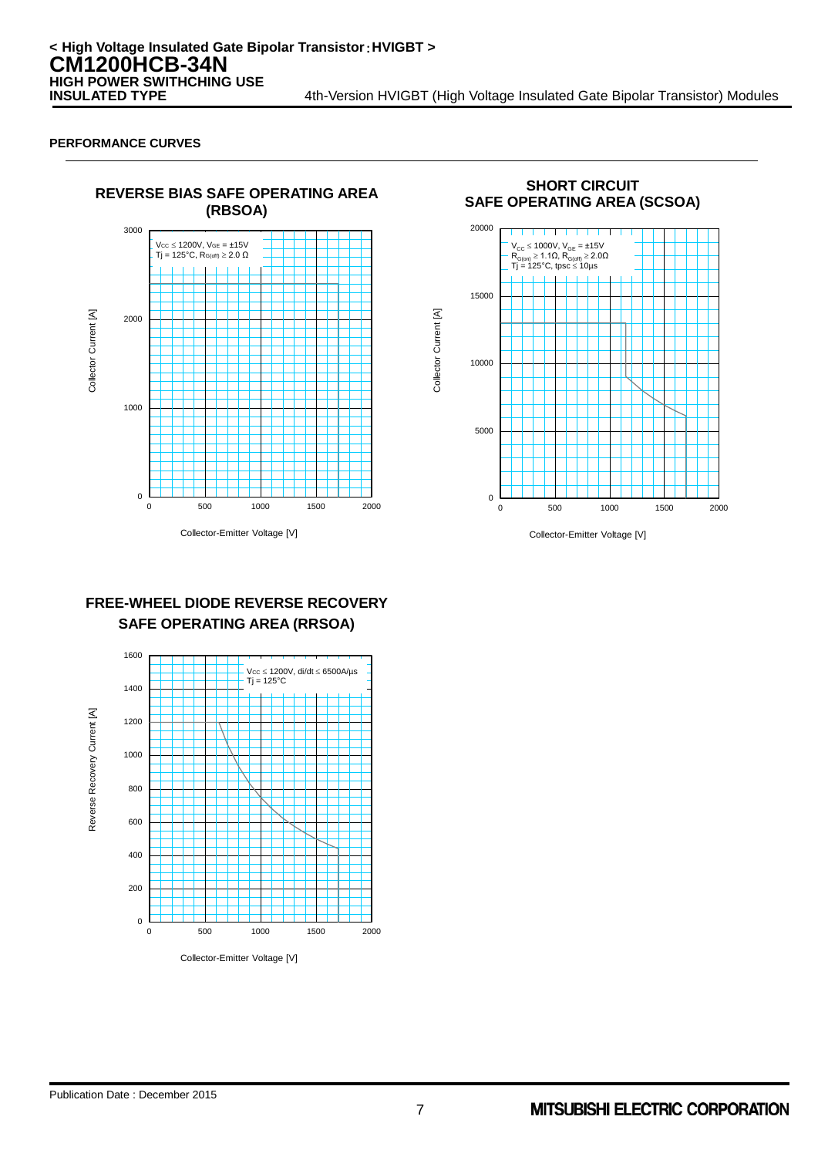

**SHORT CIRCUIT SAFE OPERATING AREA (SCSOA)** 0 5000 10000 15000 20000 0 500 1000 1500 2000 V<sub>CC</sub> ≤ 1000V, V<sub>GE</sub> = ±15V<br>R<sub>G(on)</sub> ≥ 1.1Ω, R<sub>G(off)</sub> ≥ 2.0Ω<br>Tj = 125°C, tpsc ≤ 10µs

Collector Current [A]

Collector Current [A]

### **FREE-WHEEL DIODE REVERSE RECOVERY SAFE OPERATING AREA (RRSOA)**



Collector-Emitter Voltage [V]

Collector-Emitter Voltage [V]